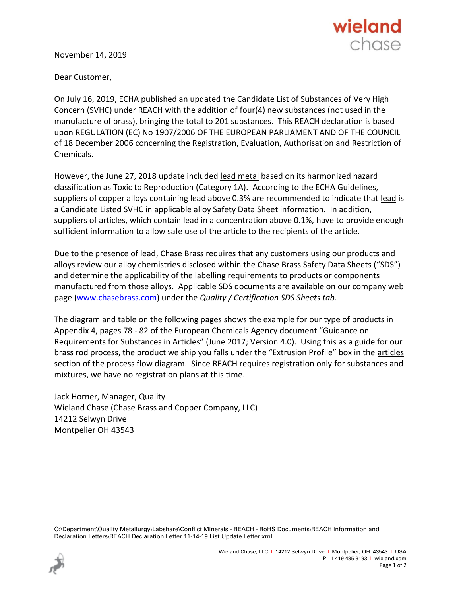

November 14, 2019

Dear Customer,

On July 16, 2019, ECHA published an updated the Candidate List of Substances of Very High Concern (SVHC) under REACH with the addition of four(4) new substances (not used in the manufacture of brass), bringing the total to 201 substances. This REACH declaration is based upon REGULATION (EC) No 1907/2006 OF THE EUROPEAN PARLIAMENT AND OF THE COUNCIL of 18 December 2006 concerning the Registration, Evaluation, Authorisation and Restriction of Chemicals.

However, the June 27, 2018 update included lead metal based on its harmonized hazard classification as Toxic to Reproduction (Category 1A). According to the ECHA Guidelines, suppliers of copper alloys containing lead above 0.3% are recommended to indicate that lead is a Candidate Listed SVHC in applicable alloy Safety Data Sheet information. In addition, suppliers of articles, which contain lead in a concentration above 0.1%, have to provide enough sufficient information to allow safe use of the article to the recipients of the article.

Due to the presence of lead, Chase Brass requires that any customers using our products and alloys review our alloy chemistries disclosed within the Chase Brass Safety Data Sheets ("SDS") and determine the applicability of the labelling requirements to products or components manufactured from those alloys. Applicable SDS documents are available on our company web page [\(www.chasebrass.com\)](http://www.chasebrass.com/) under the *Quality / Certification SDS Sheets tab.*

The diagram and table on the following pages shows the example for our type of products in Appendix 4, pages 78 - 82 of the European Chemicals Agency document "Guidance on Requirements for Substances in Articles" (June 2017; Version 4.0). Using this as a guide for our brass rod process, the product we ship you falls under the "Extrusion Profile" box in the articles section of the process flow diagram. Since REACH requires registration only for substances and mixtures, we have no registration plans at this time.

Jack Horner, Manager, Quality Wieland Chase (Chase Brass and Copper Company, LLC) 14212 Selwyn Drive Montpelier OH 43543

O:\Department\Quality Metallurgy\Labshare\Conflict Minerals - REACH - RoHS Documents\REACH Information and Declaration Letters\REACH Declaration Letter 11-14-19 List Update Letter.xml